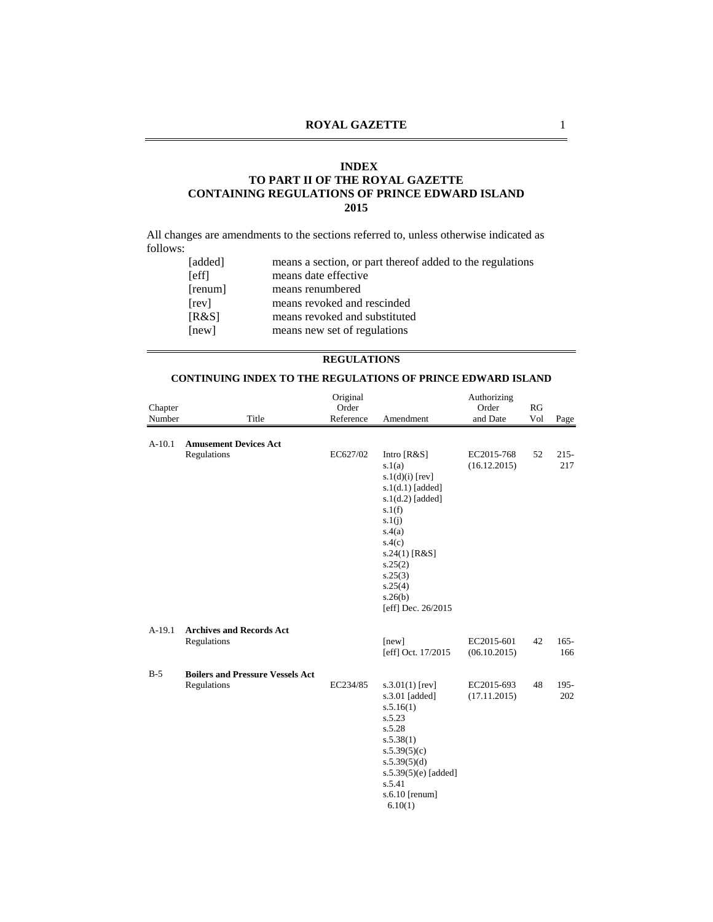#### **INDEX**

## **TO PART II OF THE ROYAL GAZETTE CONTAINING REGULATIONS OF PRINCE EDWARD ISLAND 2015**

All changes are amendments to the sections referred to, unless otherwise indicated as follows:

| [added]     | means a section, or part thereof added to the regulations |
|-------------|-----------------------------------------------------------|
| <b>Seff</b> | means date effective                                      |
| [remum]     | means renumbered                                          |
| [rev]       | means revoked and rescinded                               |
| [R&S]       | means revoked and substituted                             |
| [new]       | means new set of regulations                              |
|             |                                                           |

#### **REGULATIONS**

### **CONTINUING INDEX TO THE REGULATIONS OF PRINCE EDWARD ISLAND**

|          |                                                        | Original  |                                                                                                                                                                                                      | Authorizing                |     |                |
|----------|--------------------------------------------------------|-----------|------------------------------------------------------------------------------------------------------------------------------------------------------------------------------------------------------|----------------------------|-----|----------------|
| Chapter  |                                                        | Order     |                                                                                                                                                                                                      | Order                      | RG  |                |
| Number   | Title                                                  | Reference | Amendment                                                                                                                                                                                            | and Date                   | Vol | Page           |
| $A-10.1$ | <b>Amusement Devices Act</b><br>Regulations            | EC627/02  | Intro $[R&S]$                                                                                                                                                                                        | EC2015-768                 | 52  | $215 -$        |
|          |                                                        |           | s.1(a)<br>$s.1(d)(i)$ [rev]<br>$s.1(d.1)$ [added]<br>$s.1(d.2)$ [added]<br>s.1(f)<br>s.1(j)<br>s.4(a)<br>s.4(c)<br>$s.24(1)$ [R&S]<br>s.25(2)<br>s.25(3)<br>s.25(4)<br>s.26(b)<br>[eff] Dec. 26/2015 | (16.12.2015)               |     | 217            |
| $A-19.1$ | <b>Archives and Records Act</b><br>Regulations         |           | [new]<br>[eff] Oct. 17/2015                                                                                                                                                                          | EC2015-601<br>(06.10.2015) | 42  | $165 -$<br>166 |
|          |                                                        |           |                                                                                                                                                                                                      |                            |     |                |
| $B-5$    | <b>Boilers and Pressure Vessels Act</b><br>Regulations | EC234/85  | $s.3.01(1)$ [rev]<br>s.3.01 [added]<br>s.5.16(1)<br>s.5.23<br>s.5.28<br>s.5.38(1)<br>s.5.39(5)(c)<br>s.5.39(5)(d)<br>s.5.39 $(5)(e)$ [added]<br>s.5.41<br>s.6.10 $[remum]$<br>6.10(1)                | EC2015-693<br>(17.11.2015) | 48  | $195 -$<br>202 |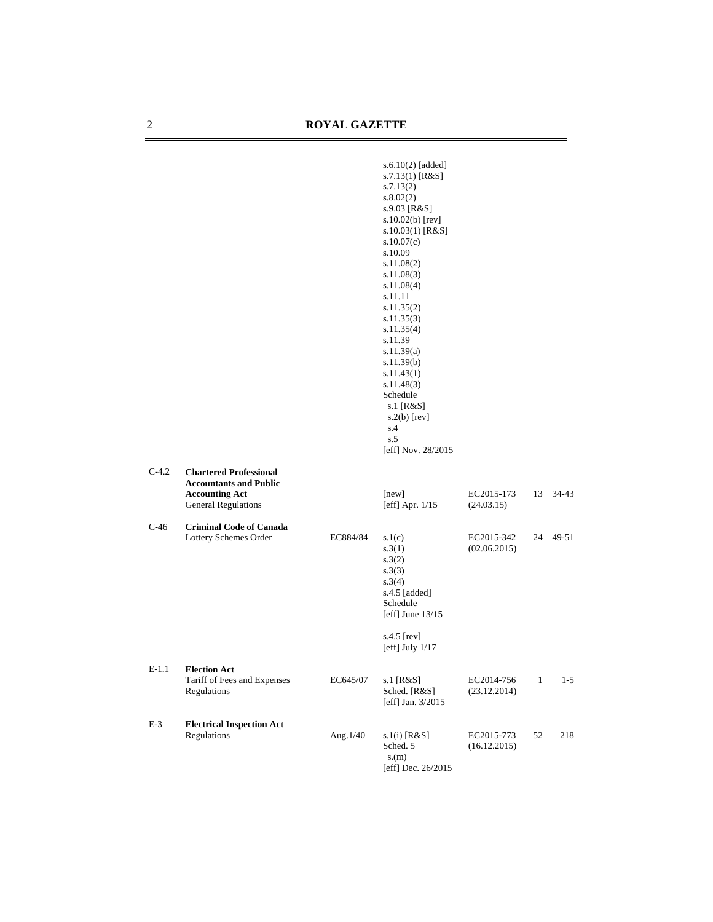|         |                                                                                                                |          | $s.6.10(2)$ [added]<br>$s.7.13(1)$ [R&S]<br>s.7.13(2)<br>s.8.02(2)<br>s.9.03 [R&S]<br>$s.10.02(b)$ [rev]<br>$s.10.03(1)$ [R&S]<br>s.10.07(c)<br>s.10.09<br>s.11.08(2)<br>s.11.08(3)<br>s.11.08(4)<br>s.11.11<br>s.11.35(2)<br>s.11.35(3)<br>s.11.35(4)<br>s.11.39<br>s.11.39(a)<br>s.11.39(b)<br>s.11.43(1)<br>s.11.48(3)<br>Schedule<br>s.1 $[R&S]$<br>$s.2(b)$ [rev]<br>s.4<br>s.5<br>[eff] Nov. 28/2015 |                            |              |          |
|---------|----------------------------------------------------------------------------------------------------------------|----------|------------------------------------------------------------------------------------------------------------------------------------------------------------------------------------------------------------------------------------------------------------------------------------------------------------------------------------------------------------------------------------------------------------|----------------------------|--------------|----------|
| $C-4.2$ | <b>Chartered Professional</b><br><b>Accountants and Public</b><br><b>Accounting Act</b><br>General Regulations |          | [new]<br>[eff] Apr. 1/15                                                                                                                                                                                                                                                                                                                                                                                   | EC2015-173<br>(24.03.15)   | 13           | 34-43    |
| $C-46$  | <b>Criminal Code of Canada</b><br>Lottery Schemes Order                                                        | EC884/84 | s.1(c)<br>s.3(1)<br>s.3(2)<br>s.3(3)<br>s.3(4)<br>s.4.5 [added]<br>Schedule<br>[eff] June $13/15$<br>s.4.5 $[rev]$<br>[eff] July $1/17$                                                                                                                                                                                                                                                                    | EC2015-342<br>(02.06.2015) |              | 24 49-51 |
| E-1.1   | <b>Election Act</b><br>Tariff of Fees and Expenses<br>Regulations                                              | EC645/07 | s.1 [R&S]<br>Sched. [R&S]<br>[eff] Jan. 3/2015                                                                                                                                                                                                                                                                                                                                                             | EC2014-756<br>(23.12.2014) | $\mathbf{1}$ | $1 - 5$  |
| $E-3$   | <b>Electrical Inspection Act</b><br>Regulations                                                                | Aug.1/40 | $s.1(i)$ [R&S]<br>Sched. 5<br>s.(m)<br>[eff] Dec. 26/2015                                                                                                                                                                                                                                                                                                                                                  | EC2015-773<br>(16.12.2015) | 52           | 218      |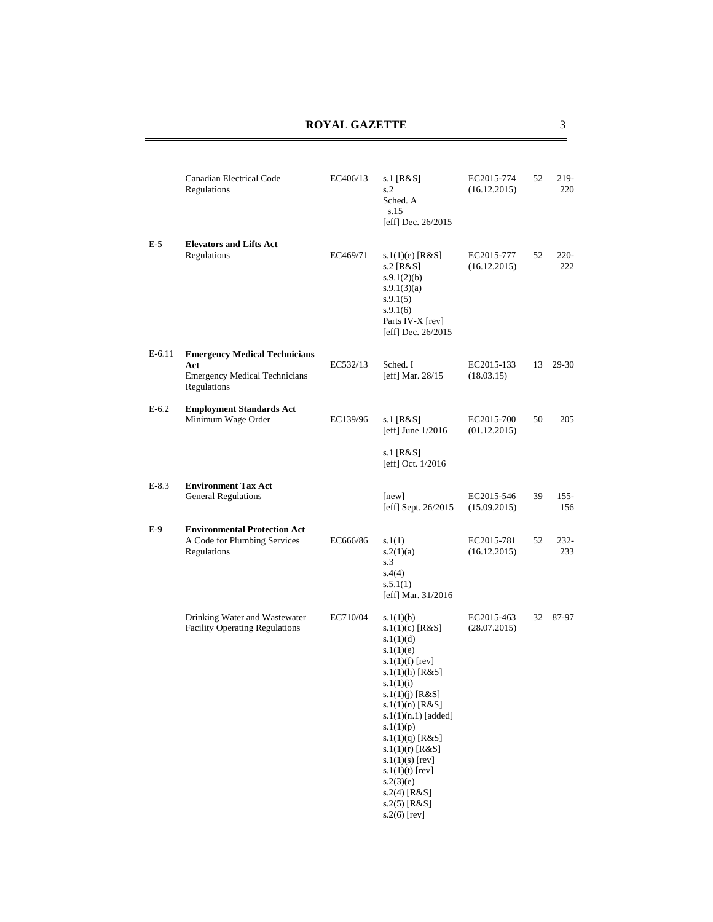|          | Canadian Electrical Code<br>Regulations                                                            | EC406/13 | s.1 [R&S]<br>s.2<br>Sched. A<br>s.15<br>[eff] Dec. 26/2015                                                                                                                                                                                                                                                                                                  | EC2015-774<br>(16.12.2015) | 52 | 219-<br>220    |
|----------|----------------------------------------------------------------------------------------------------|----------|-------------------------------------------------------------------------------------------------------------------------------------------------------------------------------------------------------------------------------------------------------------------------------------------------------------------------------------------------------------|----------------------------|----|----------------|
| E-5      | <b>Elevators and Lifts Act</b><br>Regulations                                                      | EC469/71 | s. $1(1)(e)$ [R&S]<br>s.2 [R&S]<br>s.9.1(2)(b)<br>s.9.1(3)(a)<br>s.9.1(5)<br>s.9.1(6)<br>Parts IV-X [rev]<br>[eff] Dec. 26/2015                                                                                                                                                                                                                             | EC2015-777<br>(16.12.2015) | 52 | $220 -$<br>222 |
| $E-6.11$ | <b>Emergency Medical Technicians</b><br>Act<br><b>Emergency Medical Technicians</b><br>Regulations | EC532/13 | Sched. I<br>[eff] Mar. 28/15                                                                                                                                                                                                                                                                                                                                | EC2015-133<br>(18.03.15)   | 13 | 29-30          |
| $E-6.2$  | <b>Employment Standards Act</b><br>Minimum Wage Order                                              | EC139/96 | s.1 $[R&S]$<br>[eff] June $1/2016$<br>s.1 [R&S]<br>[eff] Oct. 1/2016                                                                                                                                                                                                                                                                                        | EC2015-700<br>(01.12.2015) | 50 | 205            |
| $E-8.3$  | <b>Environment Tax Act</b><br><b>General Regulations</b>                                           |          | [new]<br>[eff] Sept. 26/2015                                                                                                                                                                                                                                                                                                                                | EC2015-546<br>(15.09.2015) | 39 | $155 -$<br>156 |
| E-9      | <b>Environmental Protection Act</b><br>A Code for Plumbing Services<br>Regulations                 | EC666/86 | s.1(1)<br>s.2(1)(a)<br>s.3<br>s.4(4)<br>s.5.1(1)<br>[eff] Mar. 31/2016                                                                                                                                                                                                                                                                                      | EC2015-781<br>(16.12.2015) | 52 | 232-<br>233    |
|          | Drinking Water and Wastewater<br><b>Facility Operating Regulations</b>                             | EC710/04 | s.1(1)(b)<br>s.1(1)(c) [ $R&S$ ]<br>s.1(1)(d)<br>s.1(1)(e)<br>$s.1(1)(f)$ [rev]<br>$s.1(1)$ (h) [R&S]<br>s.1(1)(i)<br>s.1(1)(j) [R&S]<br>s.1(1)(n) [ $R&S$ ]<br>$s.1(1)(n.1)$ [added]<br>s.1(1)(p)<br>s.1(1)(q) [ $R&S$ ]<br>s.1(1)(r) [ $R&S$ ]<br>$s.1(1)(s)$ [rev]<br>s.1(1)(t) [rev]<br>s.2(3)(e)<br>$s.2(4)$ [R&S]<br>$s.2(5)$ [R&S]<br>$s.2(6)$ [rev] | EC2015-463<br>(28.07.2015) | 32 | 87-97          |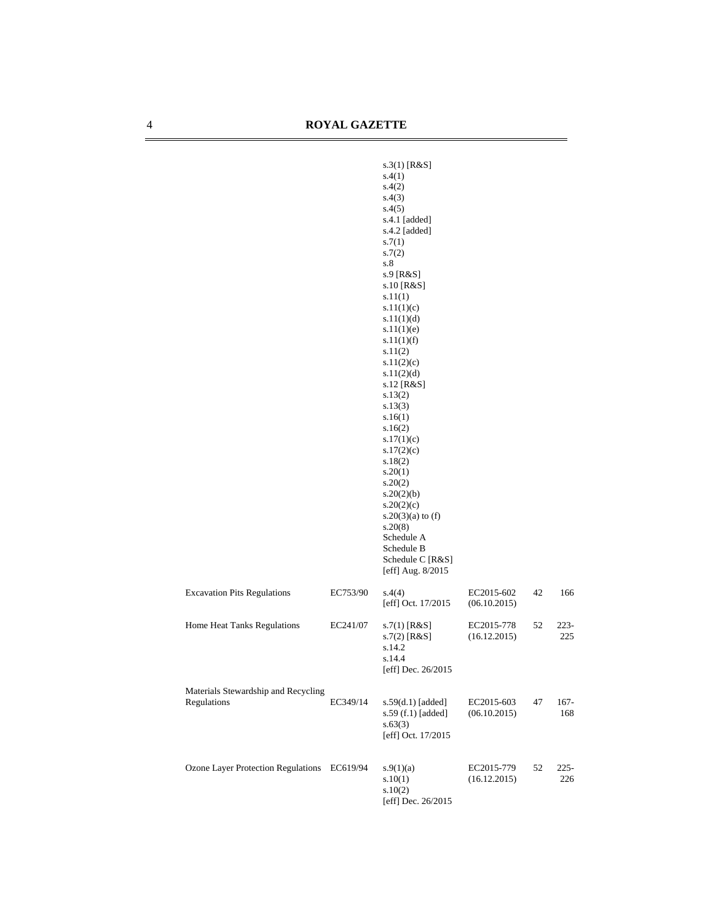|                                                    |          | $s.3(1)$ [R&S]<br>s.4(1)<br>s.4(2)<br>s.4(3)<br>s.4(5)<br>s.4.1 [added]<br>$s.4.2$ [added]<br>s.7(1)<br>s.7(2)<br>s.8<br>s.9 [R&S]<br>s.10 [R&S]<br>s.11(1)<br>s.11(1)(c)<br>s.11(1)(d)<br>s.11(1)(e)<br>s.11(1)(f)<br>s.11(2)<br>s.11(2)(c)<br>s.11(2)(d)<br>s.12 [R&S]<br>s.13(2)<br>s.13(3)<br>s.16(1)<br>s.16(2)<br>s.17(1)(c)<br>s.17(2)(c)<br>s.18(2)<br>s.20(1)<br>s.20(2)<br>s.20(2)(b)<br>s.20(2)(c)<br>$s.20(3)(a)$ to (f)<br>s.20(8)<br>Schedule A<br>Schedule B<br>Schedule C [R&S]<br>[eff] Aug. 8/2015 |                            |    |                |
|----------------------------------------------------|----------|----------------------------------------------------------------------------------------------------------------------------------------------------------------------------------------------------------------------------------------------------------------------------------------------------------------------------------------------------------------------------------------------------------------------------------------------------------------------------------------------------------------------|----------------------------|----|----------------|
| <b>Excavation Pits Regulations</b>                 | EC753/90 | s.4(4)<br>[eff] Oct. 17/2015                                                                                                                                                                                                                                                                                                                                                                                                                                                                                         | EC2015-602<br>(06.10.2015) | 42 | 166            |
| Home Heat Tanks Regulations                        | EC241/07 | $s.7(1)$ [R&S]<br>$s.7(2)$ [R&S]<br>s.14.2<br>s.14.4<br>[eff] Dec. $26/2015$                                                                                                                                                                                                                                                                                                                                                                                                                                         | EC2015-778<br>(16.12.2015) | 52 | $223 -$<br>225 |
| Materials Stewardship and Recycling<br>Regulations | EC349/14 | $s.59(d.1)$ [added]<br>s.59 (f.1) [added]<br>s.63(3)<br>[eff] Oct. 17/2015                                                                                                                                                                                                                                                                                                                                                                                                                                           | EC2015-603<br>(06.10.2015) | 47 | $167 -$<br>168 |
| Ozone Layer Protection Regulations EC619/94        |          | s.9(1)(a)<br>s.10(1)<br>s.10(2)<br>[eff] Dec. 26/2015                                                                                                                                                                                                                                                                                                                                                                                                                                                                | EC2015-779<br>(16.12.2015) | 52 | $225 -$<br>226 |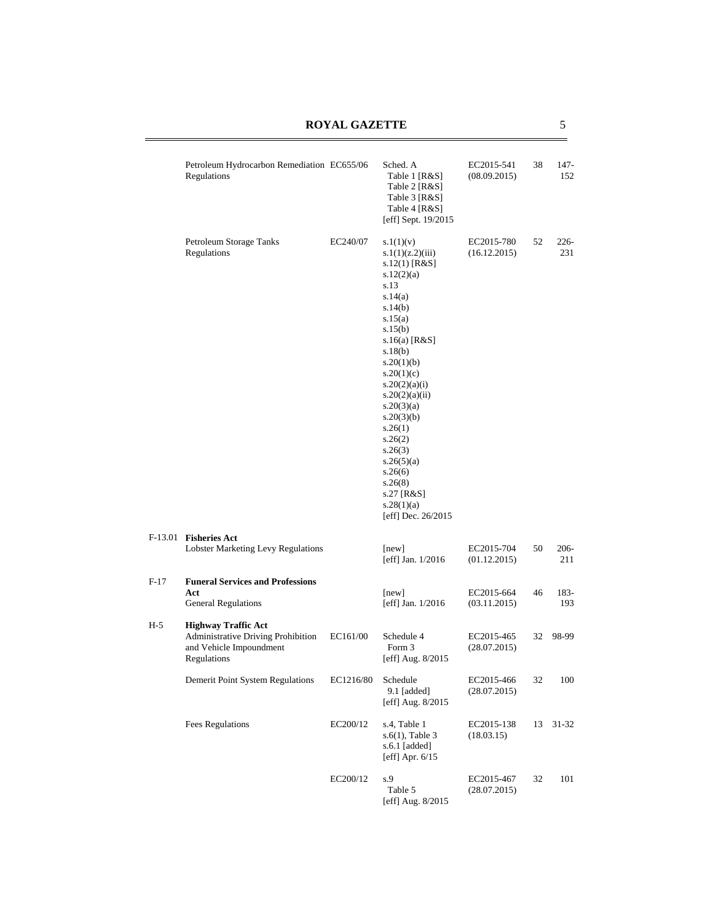# **ROYAL GAZETTE** 5

|        | Petroleum Hydrocarbon Remediation EC655/06<br>Regulations                                                  |           | Sched. A<br>Table 1 [R&S]<br>Table 2 [R&S]<br>Table 3 [R&S]<br>Table 4 [R&S]<br>[eff] Sept. 19/2015                                                                                                                                                                                                                                                                  | EC2015-541<br>(08.09.2015) | 38 | 147-<br>152    |
|--------|------------------------------------------------------------------------------------------------------------|-----------|----------------------------------------------------------------------------------------------------------------------------------------------------------------------------------------------------------------------------------------------------------------------------------------------------------------------------------------------------------------------|----------------------------|----|----------------|
|        | Petroleum Storage Tanks<br>Regulations                                                                     | EC240/07  | s.1(1)(v)<br>s.1(1)(z.2)(iii)<br>s.12(1) [R&S]<br>s.12(2)(a)<br>s.13<br>s.14(a)<br>s.14(b)<br>s.15(a)<br>s.15(b)<br>s.16(a) [ $R&S$ ]<br>s.18(b)<br>s.20(1)(b)<br>s.20(1)(c)<br>s.20(2)(a)(i)<br>s.20(2)(a)(ii)<br>s.20(3)(a)<br>s.20(3)(b)<br>s.26(1)<br>s.26(2)<br>s.26(3)<br>s.26(5)(a)<br>s.26(6)<br>s.26(8)<br>s.27 [R&S]<br>s.28(1)(a)<br>[eff] Dec. $26/2015$ | EC2015-780<br>(16.12.2015) | 52 | $226-$<br>231  |
|        | F-13.01 Fisheries Act<br><b>Lobster Marketing Levy Regulations</b>                                         |           | [new]<br>[eff] Jan. $1/2016$                                                                                                                                                                                                                                                                                                                                         | EC2015-704<br>(01.12.2015) | 50 | $206 -$<br>211 |
| $F-17$ | <b>Funeral Services and Professions</b><br>Act<br><b>General Regulations</b>                               |           | [new]<br>[eff] Jan. $1/2016$                                                                                                                                                                                                                                                                                                                                         | EC2015-664<br>(03.11.2015) | 46 | 183-<br>193    |
| H-5    | <b>Highway Traffic Act</b><br>Administrative Driving Prohibition<br>and Vehicle Impoundment<br>Regulations | EC161/00  | Schedule 4<br>Form 3<br>[eff] Aug. 8/2015                                                                                                                                                                                                                                                                                                                            | EC2015-465<br>(28.07.2015) | 32 | 98-99          |
|        | Demerit Point System Regulations                                                                           | EC1216/80 | Schedule<br>9.1 [added]<br>[eff] Aug. 8/2015                                                                                                                                                                                                                                                                                                                         | EC2015-466<br>(28.07.2015) | 32 | 100            |
|        | <b>Fees Regulations</b>                                                                                    | EC200/12  | s.4, Table 1<br>$s.6(1)$ , Table 3<br>s.6.1 [added]<br>[eff] Apr. $6/15$                                                                                                                                                                                                                                                                                             | EC2015-138<br>(18.03.15)   | 13 | $31 - 32$      |
|        |                                                                                                            | EC200/12  | s.9<br>Table 5<br>[eff] Aug. 8/2015                                                                                                                                                                                                                                                                                                                                  | EC2015-467<br>(28.07.2015) | 32 | 101            |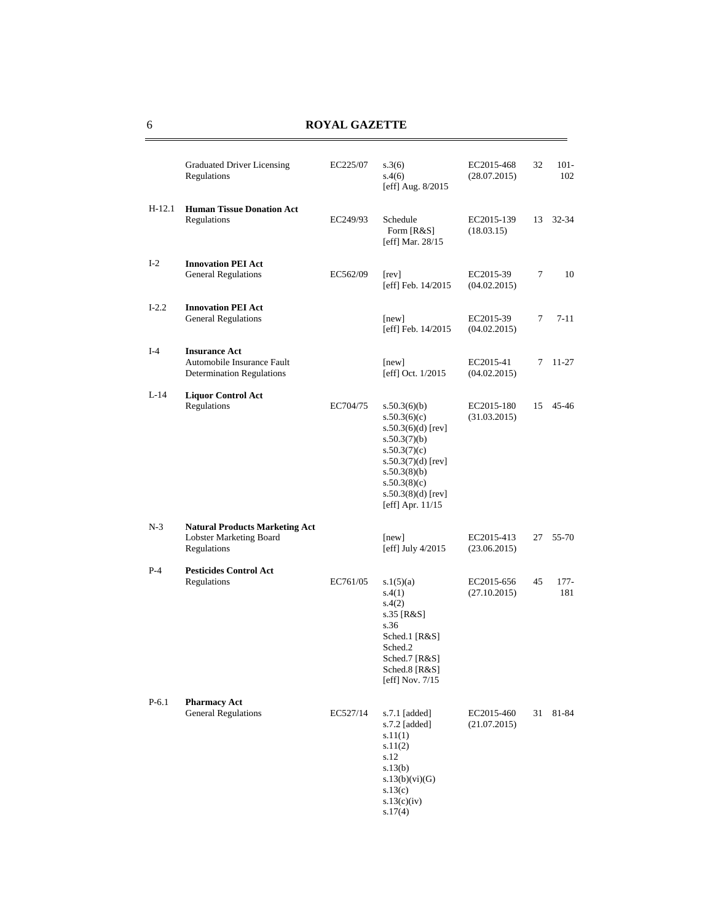|          | <b>Graduated Driver Licensing</b><br>Regulations                                       | EC225/07 | s.3(6)<br>s.4(6)<br>[eff] Aug. 8/2015                                                                                                                                                     | EC2015-468<br>(28.07.2015) | 32 | $101 -$<br>102 |
|----------|----------------------------------------------------------------------------------------|----------|-------------------------------------------------------------------------------------------------------------------------------------------------------------------------------------------|----------------------------|----|----------------|
| $H-12.1$ | <b>Human Tissue Donation Act</b><br>Regulations                                        | EC249/93 | Schedule<br>Form [R&S]<br>[eff] Mar. 28/15                                                                                                                                                | EC2015-139<br>(18.03.15)   | 13 | $32 - 34$      |
| $I-2$    | <b>Innovation PEI Act</b><br><b>General Regulations</b>                                | EC562/09 | [rev]<br>[eff] Feb. 14/2015                                                                                                                                                               | EC2015-39<br>(04.02.2015)  | 7  | 10             |
| $I-2.2$  | <b>Innovation PEI Act</b><br>General Regulations                                       |          | [new]<br>[eff] Feb. 14/2015                                                                                                                                                               | EC2015-39<br>(04.02.2015)  | 7  | $7 - 11$       |
| $I-4$    | <b>Insurance Act</b><br>Automobile Insurance Fault<br><b>Determination Regulations</b> |          | [new]<br>[eff] Oct. 1/2015                                                                                                                                                                | EC2015-41<br>(04.02.2015)  | 7  | $11 - 27$      |
| $L-14$   | <b>Liquor Control Act</b><br>Regulations                                               | EC704/75 | s.50.3(6)(b)<br>s.50.3(6)(c)<br>s.50.3(6)(d) [rev]<br>s.50.3(7)(b)<br>s.50.3(7)(c)<br>s.50.3 $(7)(d)$ [rev]<br>s.50.3(8)(b)<br>s.50.3(8)(c)<br>$s.50.3(8)(d)$ [rev]<br>[eff] Apr. $11/15$ | EC2015-180<br>(31.03.2015) | 15 | 45-46          |
| $N-3$    | <b>Natural Products Marketing Act</b><br>Lobster Marketing Board<br>Regulations        |          | [new]<br>[eff] July $4/2015$                                                                                                                                                              | EC2015-413<br>(23.06.2015) | 27 | 55-70          |
| $P-4$    | <b>Pesticides Control Act</b><br>Regulations                                           | EC761/05 | s.1(5)(a)<br>s.4(1)<br>s.4(2)<br>s.35 [R&S]<br>s.36<br>Sched.1 [R&S]<br>Sched.2<br>Sched.7 [R&S]<br>Sched.8 [R&S]<br>[eff] Nov. 7/15                                                      | EC2015-656<br>(27.10.2015) | 45 | $177 -$<br>181 |
| $P-6.1$  | <b>Pharmacy Act</b><br><b>General Regulations</b>                                      | EC527/14 | $s.7.1$ [added]<br>s.7.2 [added]<br>s.11(1)<br>s.11(2)<br>s.12<br>s.13(b)<br>s.13(b)(vi)(G)<br>s.13(c)<br>s.13(c)(iv)<br>s.17(4)                                                          | EC2015-460<br>(21.07.2015) | 31 | 81-84          |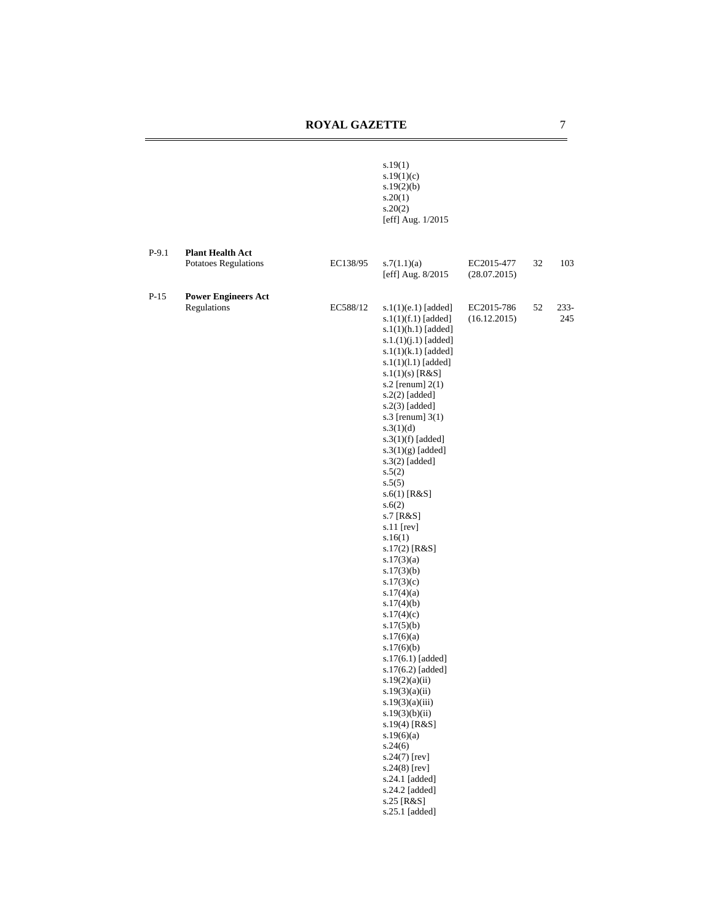|         |                                                        |          | s.19(1)<br>s.19(1)(c)<br>s.19(2)(b)<br>s.20(1)<br>s.20(2)<br>[eff] Aug. 1/2015                                                                                                                                                                                                                                                                                                                                                                                                                                                                                                                                                                                                                                                                                                                                                                  |                            |    |                |
|---------|--------------------------------------------------------|----------|-------------------------------------------------------------------------------------------------------------------------------------------------------------------------------------------------------------------------------------------------------------------------------------------------------------------------------------------------------------------------------------------------------------------------------------------------------------------------------------------------------------------------------------------------------------------------------------------------------------------------------------------------------------------------------------------------------------------------------------------------------------------------------------------------------------------------------------------------|----------------------------|----|----------------|
| $P-9.1$ | <b>Plant Health Act</b><br><b>Potatoes Regulations</b> | EC138/95 | s.7(1.1)(a)<br>[eff] Aug. 8/2015                                                                                                                                                                                                                                                                                                                                                                                                                                                                                                                                                                                                                                                                                                                                                                                                                | EC2015-477<br>(28.07.2015) | 32 | 103            |
| $P-15$  | <b>Power Engineers Act</b><br>Regulations              | EC588/12 | $s.1(1)(e.1)$ [added]<br>$s.1(1)(f.1)$ [added]<br>$s.1(1)(h.1)$ [added]<br>$s.1.(1)(j.1)$ [added]<br>$s.1(1)(k.1)$ [added]<br>$s.1(1)(1.1)$ [added]<br>$s.1(1)(s)$ [R&S]<br>s.2 [renum] $2(1)$<br>s.2(2) [added]<br>s.2(3) [added]<br>s.3 [renum] $3(1)$<br>s.3(1)(d)<br>$s.3(1)(f)$ [added]<br>$s.3(1)(g)$ [added]<br>s.3(2) [added]<br>s.5(2)<br>s.5(5)<br>s.6(1) [R&S]<br>s.6(2)<br>s.7 [R&S]<br>s.11 [rev]<br>s.16(1)<br>s.17(2) [R&S]<br>s.17(3)(a)<br>s.17(3)(b)<br>s.17(3)(c)<br>s.17(4)(a)<br>s.17(4)(b)<br>s.17(4)(c)<br>s.17(5)(b)<br>s.17(6)(a)<br>s.17(6)(b)<br>s.17(6.1) [added]<br>s.17(6.2) [added]<br>s.19(2)(a)(ii)<br>s.19(3)(a)(ii)<br>s.19(3)(a)(iii)<br>s.19(3)(b)(ii)<br>$s.19(4)$ [R&S]<br>s.19(6)(a)<br>s.24(6)<br>s.24(7) [rev]<br>$s.24(8)$ [rev]<br>s.24.1 [added]<br>s.24.2 [added]<br>s.25 [R&S]<br>s.25.1 [added] | EC2015-786<br>(16.12.2015) | 52 | $233 -$<br>245 |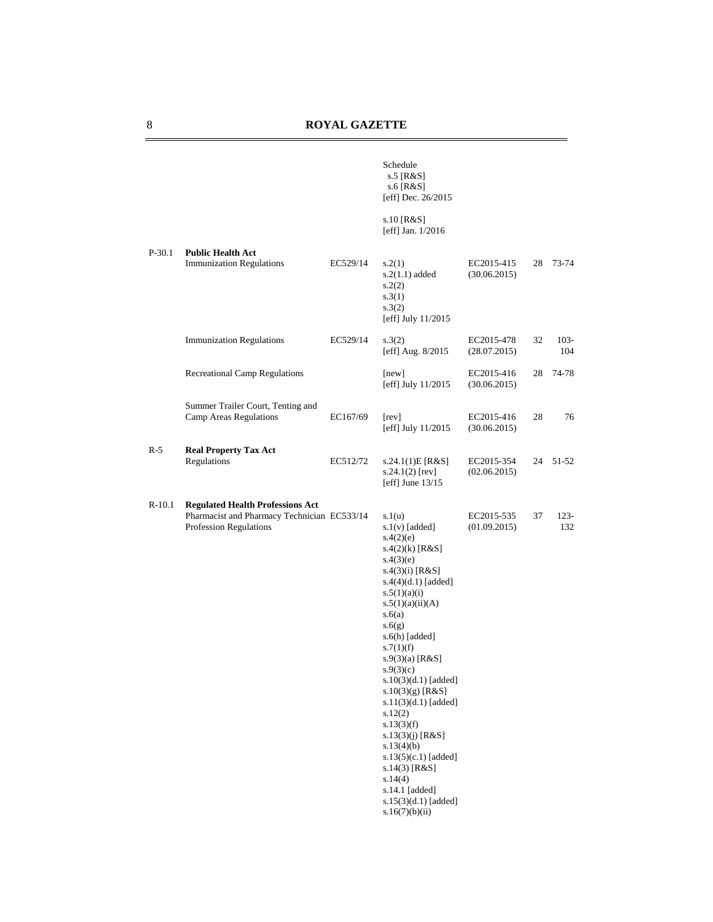|          |                                                                                                                  |          | Schedule<br>s.5 [R&S]<br>s.6 [R&S]<br>[eff] Dec. 26/2015                                                                                                                                                                                                                                                                                                                                                                                                                                                |                            |    |                |
|----------|------------------------------------------------------------------------------------------------------------------|----------|---------------------------------------------------------------------------------------------------------------------------------------------------------------------------------------------------------------------------------------------------------------------------------------------------------------------------------------------------------------------------------------------------------------------------------------------------------------------------------------------------------|----------------------------|----|----------------|
|          |                                                                                                                  |          | s.10 [R&S]<br>[eff] Jan. $1/2016$                                                                                                                                                                                                                                                                                                                                                                                                                                                                       |                            |    |                |
| $P-30.1$ | <b>Public Health Act</b><br><b>Immunization Regulations</b>                                                      | EC529/14 | s.2(1)<br>$s.2(1.1)$ added<br>s.2(2)<br>s.3(1)<br>s.3(2)<br>[eff] July 11/2015                                                                                                                                                                                                                                                                                                                                                                                                                          | EC2015-415<br>(30.06.2015) | 28 | 73-74          |
|          | <b>Immunization Regulations</b>                                                                                  | EC529/14 | s.3(2)<br>[eff] Aug. 8/2015                                                                                                                                                                                                                                                                                                                                                                                                                                                                             | EC2015-478<br>(28.07.2015) | 32 | $103 -$<br>104 |
|          | <b>Recreational Camp Regulations</b>                                                                             |          | [new]<br>[eff] July 11/2015                                                                                                                                                                                                                                                                                                                                                                                                                                                                             | EC2015-416<br>(30.06.2015) | 28 | 74-78          |
|          | Summer Trailer Court, Tenting and<br>Camp Areas Regulations                                                      | EC167/69 | [rev]<br>[eff] July 11/2015                                                                                                                                                                                                                                                                                                                                                                                                                                                                             | EC2015-416<br>(30.06.2015) | 28 | 76             |
| $R-5$    | <b>Real Property Tax Act</b><br>Regulations                                                                      | EC512/72 | s.24.1(1)E[R&S]<br>$s.24.1(2)$ [rev]<br>[eff] June $13/15$                                                                                                                                                                                                                                                                                                                                                                                                                                              | EC2015-354<br>(02.06.2015) | 24 | 51-52          |
| $R-10.1$ | <b>Regulated Health Professions Act</b><br>Pharmacist and Pharmacy Technician EC533/14<br>Profession Regulations |          | s.1(u)<br>$s.1(v)$ [added]<br>s.4(2)(e)<br>$s.4(2)(k)$ [R&S]<br>s.4(3)(e)<br>$s.4(3)(i)$ [R&S]<br>$s.4(4)(d.1)$ [added]<br>s.5(1)(a)(i)<br>s.5(1)(a)(ii)(A)<br>s.6(a)<br>s.6(g)<br>s.6(h) [added]<br>s.7(1)(f)<br>$s.9(3)(a)$ [R&S]<br>s.9(3)(c)<br>s.10(3)(d.1) [added]<br>$s.10(3)(g)$ [R&S]<br>s.11(3)(d.1) [added]<br>s.12(2)<br>s.13(3)(f)<br>s.13(3)(j) [ $R&S$ ]<br>s.13(4)(b)<br>s.13(5)(c.1) [added]<br>$s.14(3)$ [R&S]<br>s.14(4)<br>s.14.1 [added]<br>s.15(3)(d.1) [added]<br>s.16(7)(b)(ii) | EC2015-535<br>(01.09.2015) | 37 | $123 -$<br>132 |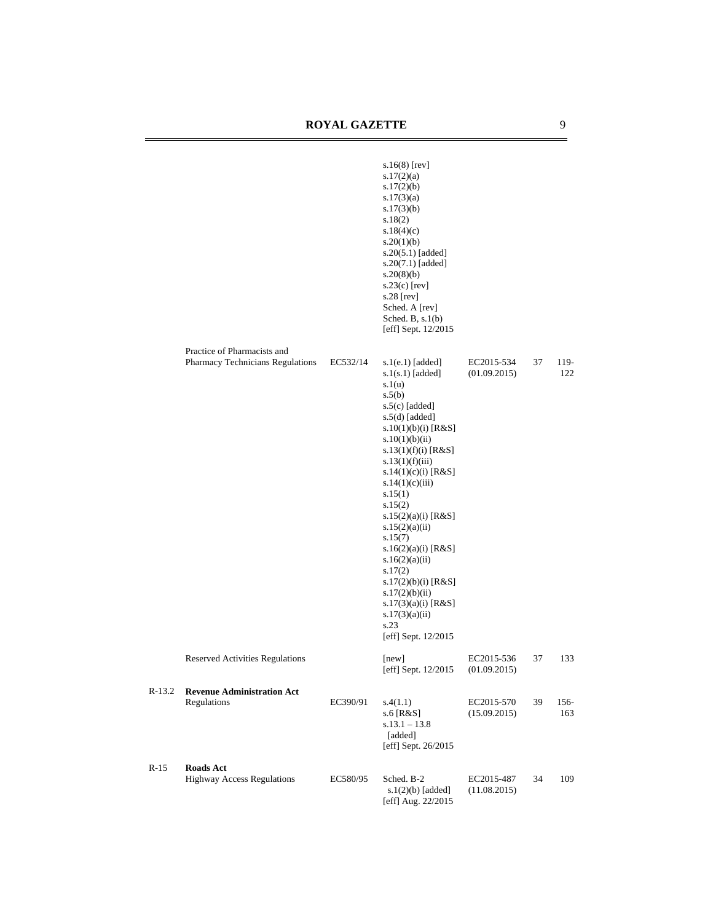|          |                                                                 |          | $s.16(8)$ [rev]<br>s.17(2)(a)<br>s.17(2)(b)<br>s.17(3)(a)<br>s.17(3)(b)<br>s.18(2)<br>s.18(4)(c)<br>s.20(1)(b)<br>$s.20(5.1)$ [added]<br>$s.20(7.1)$ [added]<br>s.20(8)(b)<br>$s.23(c)$ [rev]<br>s.28 [rev]<br>Sched. A [rev]<br>Sched. B, $s.1(b)$<br>[eff] Sept. 12/2015                                                                                                                                                                                                                           |                            |    |             |
|----------|-----------------------------------------------------------------|----------|------------------------------------------------------------------------------------------------------------------------------------------------------------------------------------------------------------------------------------------------------------------------------------------------------------------------------------------------------------------------------------------------------------------------------------------------------------------------------------------------------|----------------------------|----|-------------|
|          | Practice of Pharmacists and<br>Pharmacy Technicians Regulations | EC532/14 | $s.1(e.1)$ [added]<br>$s.1(s.1)$ [added]<br>s.1(u)<br>s.5(b)<br>$s.5(c)$ [added]<br>$s.5(d)$ [added]<br>s.10(1)(b)(i) [ $R&S$ ]<br>s.10(1)(b)(ii)<br>s.13(1)(f)(i) [ $R&S$ ]<br>s.13(1)(f)(iii)<br>s.14(1)(c)(i) [ $R&S$ ]<br>s.14(1)(c)(iii)<br>s.15(1)<br>s.15(2)<br>s.15(2)(a)(i) [R&S]<br>s.15(2)(a)(ii)<br>s.15(7)<br>s.16(2)(a)(i) [ $R&S$ ]<br>s.16(2)(a)(ii)<br>s.17(2)<br>s.17(2)(b)(i) [R&S]<br>s.17(2)(b)(ii)<br>s.17(3)(a)(i) [ $R&S$ ]<br>s.17(3)(a)(ii)<br>s.23<br>[eff] Sept. 12/2015 | EC2015-534<br>(01.09.2015) | 37 | 119-<br>122 |
|          | Reserved Activities Regulations                                 |          | [new]<br>[eff] Sept. 12/2015                                                                                                                                                                                                                                                                                                                                                                                                                                                                         | EC2015-536<br>(01.09.2015) | 37 | 133         |
| $R-13.2$ | <b>Revenue Administration Act</b><br>Regulations                | EC390/91 | s.4(1.1)<br>s.6 [R&S]<br>$s.13.1 - 13.8$<br>[added]<br>[eff] Sept. 26/2015                                                                                                                                                                                                                                                                                                                                                                                                                           | EC2015-570<br>(15.09.2015) | 39 | 156-<br>163 |
| $R-15$   | <b>Roads Act</b><br><b>Highway Access Regulations</b>           | EC580/95 | Sched. B-2<br>$s.1(2)(b)$ [added]<br>[eff] Aug. 22/2015                                                                                                                                                                                                                                                                                                                                                                                                                                              | EC2015-487<br>(11.08.2015) | 34 | 109         |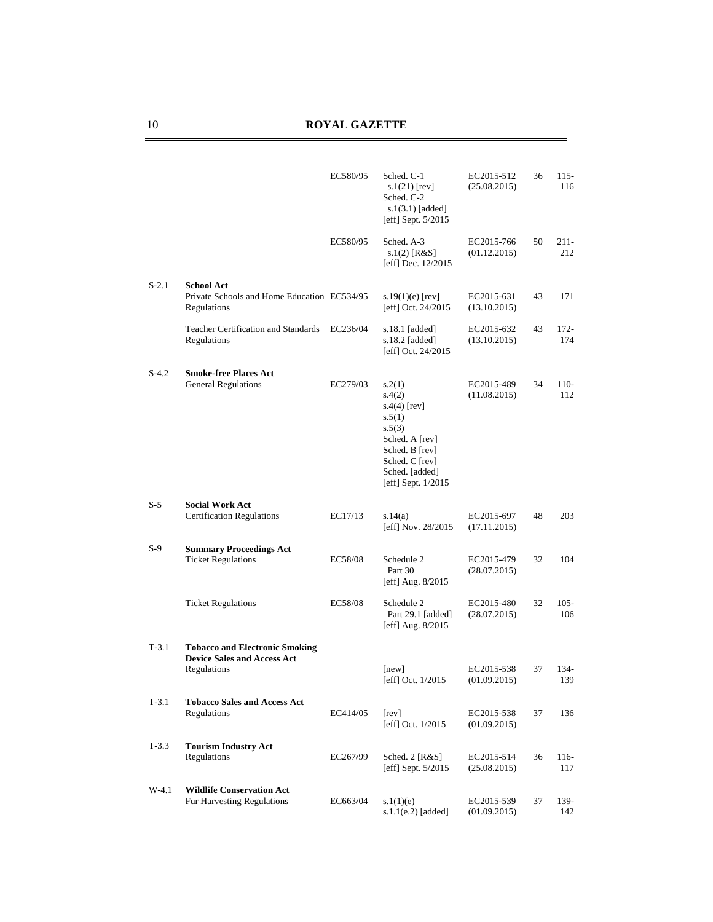|         |                                                                                            | EC580/95 | Sched. C-1<br>$s.1(21)$ [rev]<br>Sched. C-2<br>$s.1(3.1)$ [added]<br>[eff] Sept. 5/2015                                                                | EC2015-512<br>(25.08.2015) | 36 | $115-$<br>116  |
|---------|--------------------------------------------------------------------------------------------|----------|--------------------------------------------------------------------------------------------------------------------------------------------------------|----------------------------|----|----------------|
|         |                                                                                            | EC580/95 | Sched. A-3<br>s.1(2) [R&S]<br>[eff] Dec. 12/2015                                                                                                       | EC2015-766<br>(01.12.2015) | 50 | $211-$<br>212  |
| $S-2.1$ | <b>School Act</b><br>Private Schools and Home Education EC534/95<br>Regulations            |          | s.19 $(1)(e)$ [rev]<br>[eff] Oct. 24/2015                                                                                                              | EC2015-631<br>(13.10.2015) | 43 | 171            |
|         | <b>Teacher Certification and Standards</b><br>Regulations                                  | EC236/04 | s.18.1 [added]<br>s.18.2 [added]<br>[eff] Oct. 24/2015                                                                                                 | EC2015-632<br>(13.10.2015) | 43 | $172 -$<br>174 |
| $S-4.2$ | <b>Smoke-free Places Act</b><br><b>General Regulations</b>                                 | EC279/03 | s.2(1)<br>s.4(2)<br>$s.4(4)$ [rev]<br>s.5(1)<br>s.5(3)<br>Sched. A [rev]<br>Sched. B [rev]<br>Sched. C [rev]<br>Sched. [added]<br>[eff] Sept. $1/2015$ | EC2015-489<br>(11.08.2015) | 34 | $110-$<br>112  |
| S-5     | <b>Social Work Act</b><br><b>Certification Regulations</b>                                 | EC17/13  | s.14(a)<br>[eff] Nov. 28/2015                                                                                                                          | EC2015-697<br>(17.11.2015) | 48 | 203            |
| S-9     | <b>Summary Proceedings Act</b><br><b>Ticket Regulations</b>                                | EC58/08  | Schedule 2<br>Part 30<br>[eff] Aug. $8/2015$                                                                                                           | EC2015-479<br>(28.07.2015) | 32 | 104            |
|         | <b>Ticket Regulations</b>                                                                  | EC58/08  | Schedule 2<br>Part 29.1 [added]<br>[eff] Aug. 8/2015                                                                                                   | EC2015-480<br>(28.07.2015) | 32 | $105 -$<br>106 |
| $T-3.1$ | <b>Tobacco and Electronic Smoking</b><br><b>Device Sales and Access Act</b><br>Regulations |          | [new]<br>[eff] Oct. 1/2015                                                                                                                             | EC2015-538<br>(01.09.2015) | 37 | 134-<br>139    |
| $T-3.1$ | <b>Tobacco Sales and Access Act</b><br>Regulations                                         | EC414/05 | [rev]<br>[eff] Oct. 1/2015                                                                                                                             | EC2015-538<br>(01.09.2015) | 37 | 136            |
| $T-3.3$ | <b>Tourism Industry Act</b><br>Regulations                                                 | EC267/99 | Sched. 2 [R&S]<br>[eff] Sept. 5/2015                                                                                                                   | EC2015-514<br>(25.08.2015) | 36 | $116-$<br>117  |
| $W-4.1$ | <b>Wildlife Conservation Act</b><br>Fur Harvesting Regulations                             | EC663/04 | s.1(1)(e)<br>$s.1.1(e.2)$ [added]                                                                                                                      | EC2015-539<br>(01.09.2015) | 37 | 139-<br>142    |